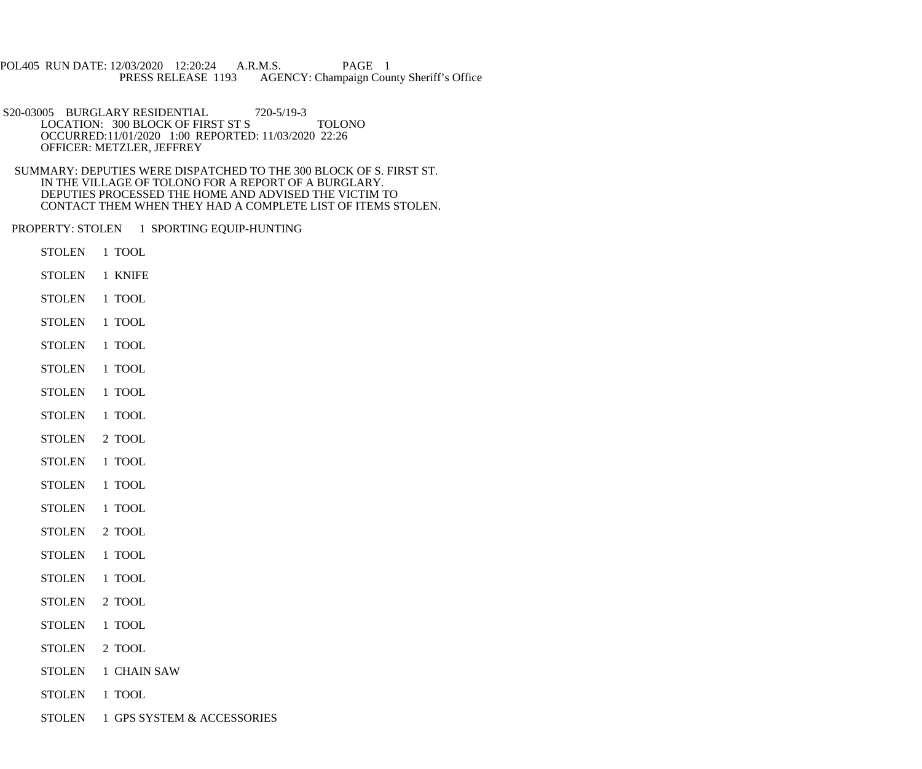POL405 RUN DATE: 12/03/2020 12:20:24 A.R.M.S. PAGE 1<br>PRESS RELEASE 1193 AGENCY: Champaign Cou AGENCY: Champaign County Sheriff's Office

S20-03005 BURGLARY RESIDENTIAL 720-5/19-3 LOCATION: 300 BLOCK OF FIRST ST S TOLONO OCCURRED:11/01/2020 1:00 REPORTED: 11/03/2020 22:26 OFFICER: METZLER, JEFFREY

 SUMMARY: DEPUTIES WERE DISPATCHED TO THE 300 BLOCK OF S. FIRST ST. IN THE VILLAGE OF TOLONO FOR A REPORT OF A BURGLARY. DEPUTIES PROCESSED THE HOME AND ADVISED THE VICTIM TO CONTACT THEM WHEN THEY HAD A COMPLETE LIST OF ITEMS STOLEN.

PROPERTY: STOLEN 1 SPORTING EQUIP-HUNTING

- STOLEN 1 TOOL
- STOLEN 1 KNIFE
- STOLEN 1 TOOL
- STOLEN 1 TOOL
- STOLEN 1 TOOL
- STOLEN 1 TOOL
- STOLEN 1 TOOL
- STOLEN 1 TOOL
- STOLEN 2 TOOL
- STOLEN 1 TOOL
- STOLEN 1 TOOL
- STOLEN 1 TOOL
- STOLEN 2 TOOL
- STOLEN 1 TOOL
- STOLEN 1 TOOL
- STOLEN 2 TOOL
- STOLEN 1 TOOL
- STOLEN 2 TOOL
- STOLEN 1 CHAIN SAW
- STOLEN 1 TOOL
- STOLEN 1 GPS SYSTEM & ACCESSORIES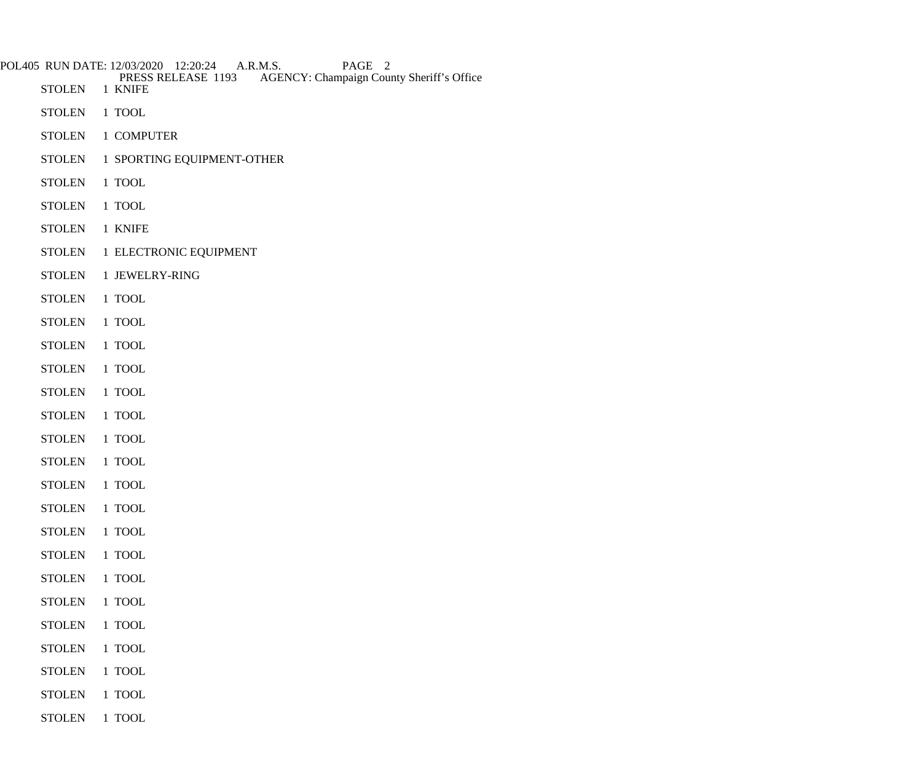|               | POL405 RUN DATE: 12/03/2020 12:20:24 A.R.M.S.<br>PAGE 2<br>PRESS RELEASE 1193<br><b>AGENCY: Champaign County Sheriff's Office</b> |
|---------------|-----------------------------------------------------------------------------------------------------------------------------------|
| <b>STOLEN</b> | 1 KNIFE                                                                                                                           |
| <b>STOLEN</b> | 1 TOOL                                                                                                                            |
| <b>STOLEN</b> | 1 COMPUTER                                                                                                                        |
| <b>STOLEN</b> | 1 SPORTING EQUIPMENT-OTHER                                                                                                        |
| <b>STOLEN</b> | 1 TOOL                                                                                                                            |
| <b>STOLEN</b> | 1 TOOL                                                                                                                            |
| <b>STOLEN</b> | 1 KNIFE                                                                                                                           |
| <b>STOLEN</b> | 1 ELECTRONIC EQUIPMENT                                                                                                            |
| <b>STOLEN</b> | 1 JEWELRY-RING                                                                                                                    |
| <b>STOLEN</b> | 1 TOOL                                                                                                                            |
| <b>STOLEN</b> | 1 TOOL                                                                                                                            |
| <b>STOLEN</b> | 1 TOOL                                                                                                                            |
| <b>STOLEN</b> | 1 TOOL                                                                                                                            |
| <b>STOLEN</b> | 1 TOOL                                                                                                                            |
| <b>STOLEN</b> | 1 TOOL                                                                                                                            |
| <b>STOLEN</b> | 1 TOOL                                                                                                                            |
| <b>STOLEN</b> | 1 TOOL                                                                                                                            |
| <b>STOLEN</b> | 1 TOOL                                                                                                                            |
| <b>STOLEN</b> | 1 TOOL                                                                                                                            |
| <b>STOLEN</b> | 1 TOOL                                                                                                                            |
| <b>STOLEN</b> | 1 TOOL                                                                                                                            |
| <b>STOLEN</b> | 1 TOOL                                                                                                                            |
| <b>STOLEN</b> | 1 TOOL                                                                                                                            |
| <b>STOLEN</b> | 1 TOOL                                                                                                                            |
| <b>STOLEN</b> | 1 TOOL                                                                                                                            |
| <b>STOLEN</b> | 1 TOOL                                                                                                                            |
| <b>STOLEN</b> | 1 TOOL                                                                                                                            |
| <b>STOLEN</b> | $1$ TOOL $\,$                                                                                                                     |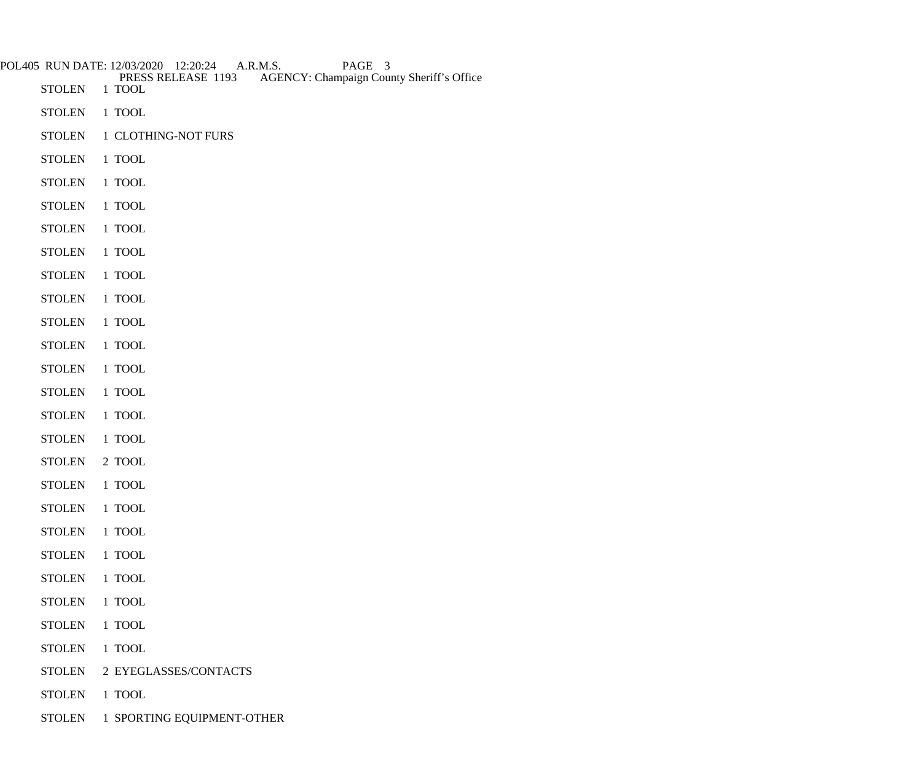|               | POL405 RUN DATE: 12/03/2020 12:20:24<br>A.R.M.S.<br>PAGE 3<br>PRESS RELEASE 1193<br><b>AGENCY: Champaign County Sheriff's Office</b> |
|---------------|--------------------------------------------------------------------------------------------------------------------------------------|
| <b>STOLEN</b> | 1 TOOL                                                                                                                               |
| <b>STOLEN</b> | 1 TOOL                                                                                                                               |
| <b>STOLEN</b> | 1 CLOTHING-NOT FURS                                                                                                                  |
| <b>STOLEN</b> | 1 TOOL                                                                                                                               |
| <b>STOLEN</b> | 1 TOOL                                                                                                                               |
| <b>STOLEN</b> | 1 TOOL                                                                                                                               |
| <b>STOLEN</b> | 1 TOOL                                                                                                                               |
| <b>STOLEN</b> | 1 TOOL                                                                                                                               |
| <b>STOLEN</b> | 1 TOOL                                                                                                                               |
| <b>STOLEN</b> | 1 TOOL                                                                                                                               |
| <b>STOLEN</b> | 1 TOOL                                                                                                                               |
| <b>STOLEN</b> | 1 TOOL                                                                                                                               |
| <b>STOLEN</b> | 1 TOOL                                                                                                                               |
| <b>STOLEN</b> | 1 TOOL                                                                                                                               |
| <b>STOLEN</b> | 1 TOOL                                                                                                                               |
| <b>STOLEN</b> | 1 TOOL                                                                                                                               |
| <b>STOLEN</b> | 2 TOOL                                                                                                                               |
| <b>STOLEN</b> | 1 TOOL                                                                                                                               |
| <b>STOLEN</b> | 1 TOOL                                                                                                                               |
| <b>STOLEN</b> | 1 TOOL                                                                                                                               |
| <b>STOLEN</b> | 1 TOOL                                                                                                                               |
| <b>STOLEN</b> | 1 TOOL                                                                                                                               |
| <b>STOLEN</b> | 1 TOOL                                                                                                                               |
| <b>STOLEN</b> | 1 TOOL                                                                                                                               |
| <b>STOLEN</b> | 1 TOOL                                                                                                                               |
| <b>STOLEN</b> | 2 EYEGLASSES/CONTACTS                                                                                                                |
| <b>STOLEN</b> | 1 TOOL                                                                                                                               |
| <b>STOLEN</b> | 1 SPORTING EQUIPMENT-OTHER                                                                                                           |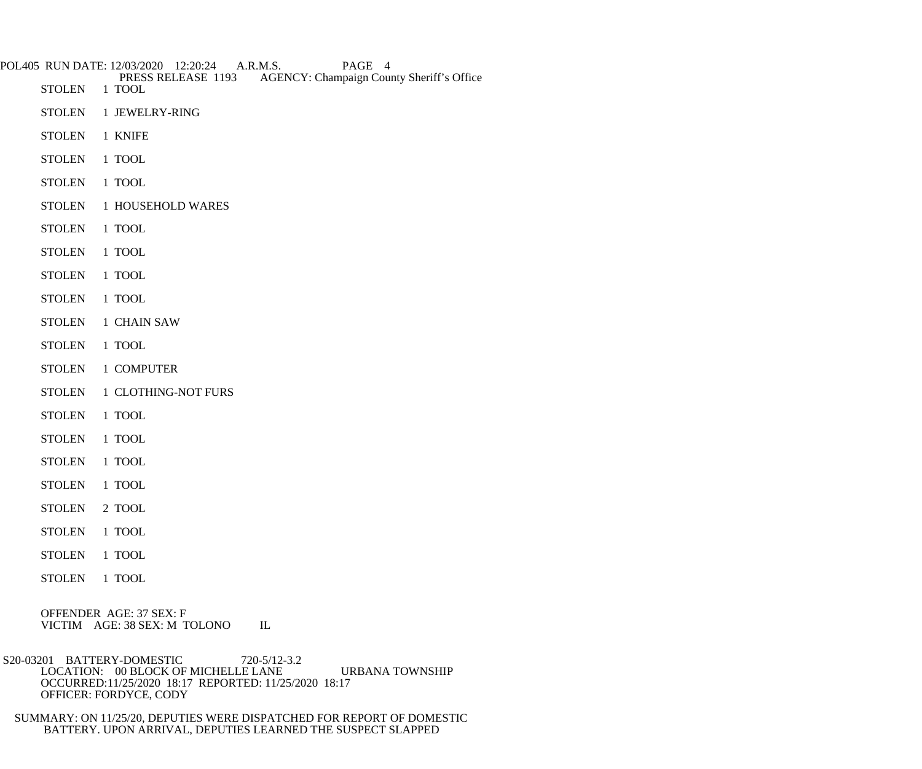| POL405 RUN DATE: 12/03/2020 12:20:24 A.R.M.S.<br>PAGE 4 |                                                                                  |  |
|---------------------------------------------------------|----------------------------------------------------------------------------------|--|
| <b>STOLEN</b>                                           | PRESS RELEASE 1193<br><b>AGENCY: Champaign County Sheriff's Office</b><br>1 TOOL |  |
| <b>STOLEN</b>                                           | 1 JEWELRY-RING                                                                   |  |
| <b>STOLEN</b>                                           | 1 KNIFE                                                                          |  |
| <b>STOLEN</b>                                           | 1 TOOL                                                                           |  |
| <b>STOLEN</b>                                           | 1 TOOL                                                                           |  |
| <b>STOLEN</b>                                           | 1 HOUSEHOLD WARES                                                                |  |
| <b>STOLEN</b>                                           | 1 TOOL                                                                           |  |
| <b>STOLEN</b>                                           | 1 TOOL                                                                           |  |
| <b>STOLEN</b>                                           | 1 TOOL                                                                           |  |
| <b>STOLEN</b>                                           | 1 TOOL                                                                           |  |
| <b>STOLEN</b>                                           | 1 CHAIN SAW                                                                      |  |
| <b>STOLEN</b>                                           | 1 TOOL                                                                           |  |
| <b>STOLEN</b>                                           | 1 COMPUTER                                                                       |  |
| <b>STOLEN</b>                                           | 1 CLOTHING-NOT FURS                                                              |  |
| <b>STOLEN</b>                                           | 1 TOOL                                                                           |  |
| <b>STOLEN</b>                                           | 1 TOOL                                                                           |  |
| <b>STOLEN</b>                                           | 1 TOOL                                                                           |  |
| <b>STOLEN</b>                                           | 1 TOOL                                                                           |  |
| <b>STOLEN</b>                                           | 2 TOOL                                                                           |  |
| <b>STOLEN</b>                                           | $1$ TOOL                                                                         |  |
| <b>STOLEN</b>                                           | 1 TOOL                                                                           |  |

STOLEN 1 TOOL

 OFFENDER AGE: 37 SEX: F VICTIM AGE: 38 SEX: M TOLONO IL

 S20-03201 BATTERY-DOMESTIC 720-5/12-3.2 LOCATION: 00 BLOCK OF MICHELLE LANE URBANA TOWNSHIP OCCURRED:11/25/2020 18:17 REPORTED: 11/25/2020 18:17 OFFICER: FORDYCE, CODY

 SUMMARY: ON 11/25/20, DEPUTIES WERE DISPATCHED FOR REPORT OF DOMESTIC BATTERY. UPON ARRIVAL, DEPUTIES LEARNED THE SUSPECT SLAPPED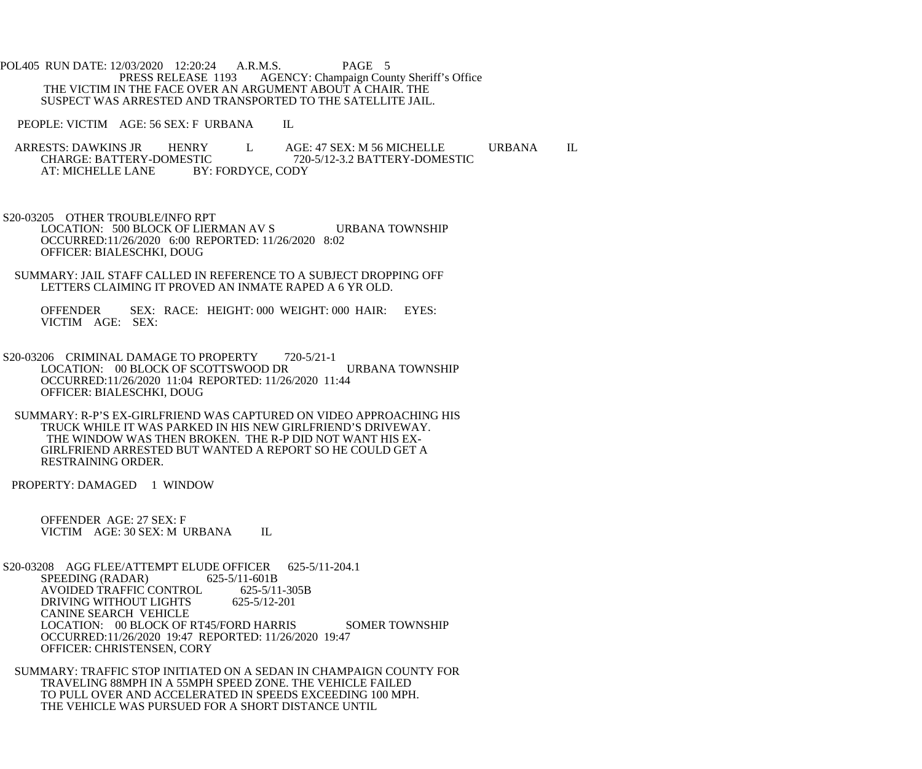POL405 RUN DATE: 12/03/2020 12:20:24 A.R.M.S. PAGE 5<br>PRESS RELEASE 1193 AGENCY: Champaign Cou AGENCY: Champaign County Sheriff's Office THE VICTIM IN THE FACE OVER AN ARGUMENT ABOUT A CHAIR. THE SUSPECT WAS ARRESTED AND TRANSPORTED TO THE SATELLITE JAIL.

PEOPLE: VICTIM AGE: 56 SEX: F URBANA IL

ARRESTS: DAWKINS JR HENRY L AGE: 47 SEX: M 56 MICHELLE URBANA IL CHARGE: BATTERY-DOMESTIC 720-5/12-3.2 BATTERY-DOMESTIC TIC 720-5/12-3.2 BATTERY-DOMESTIC<br>BY: FORDYCE, CODY AT: MICHELLE LANE

S20-03205 OTHER TROUBLE/INFO RPT

LOCATION: 500 BLOCK OF LIERMAN AV S URBANA TOWNSHIP OCCURRED:11/26/2020 6:00 REPORTED: 11/26/2020 8:02 OFFICER: BIALESCHKI, DOUG

 SUMMARY: JAIL STAFF CALLED IN REFERENCE TO A SUBJECT DROPPING OFF LETTERS CLAIMING IT PROVED AN INMATE RAPED A 6 YR OLD.

 OFFENDER SEX: RACE: HEIGHT: 000 WEIGHT: 000 HAIR: EYES: VICTIM AGE: SEX:

S20-03206 CRIMINAL DAMAGE TO PROPERTY 720-5/21-1 LOCATION: 00 BLOCK OF SCOTTSWOOD DR URBANA TOWNSHIP OCCURRED:11/26/2020 11:04 REPORTED: 11/26/2020 11:44 OFFICER: BIALESCHKI, DOUG

 SUMMARY: R-P'S EX-GIRLFRIEND WAS CAPTURED ON VIDEO APPROACHING HIS TRUCK WHILE IT WAS PARKED IN HIS NEW GIRLFRIEND'S DRIVEWAY. THE WINDOW WAS THEN BROKEN. THE R-P DID NOT WANT HIS EX- GIRLFRIEND ARRESTED BUT WANTED A REPORT SO HE COULD GET A RESTRAINING ORDER.

PROPERTY: DAMAGED 1 WINDOW

 OFFENDER AGE: 27 SEX: F VICTIM AGE: 30 SEX: M URBANA IL

 S20-03208 AGG FLEE/ATTEMPT ELUDE OFFICER 625-5/11-204.1 SPEEDING (RADAR) 625-5/11-601B AVOIDED TRAFFIC CONTROL 625-5/11-305B DRIVING WITHOUT LIGHTS 625-5/12-201 CANINE SEARCH VEHICLE LOCATION: 00 BLOCK OF RT45/FORD HARRIS SOMER TOWNSHIP OCCURRED:11/26/2020 19:47 REPORTED: 11/26/2020 19:47 OFFICER: CHRISTENSEN, CORY

 SUMMARY: TRAFFIC STOP INITIATED ON A SEDAN IN CHAMPAIGN COUNTY FOR TRAVELING 88MPH IN A 55MPH SPEED ZONE. THE VEHICLE FAILED TO PULL OVER AND ACCELERATED IN SPEEDS EXCEEDING 100 MPH. THE VEHICLE WAS PURSUED FOR A SHORT DISTANCE UNTIL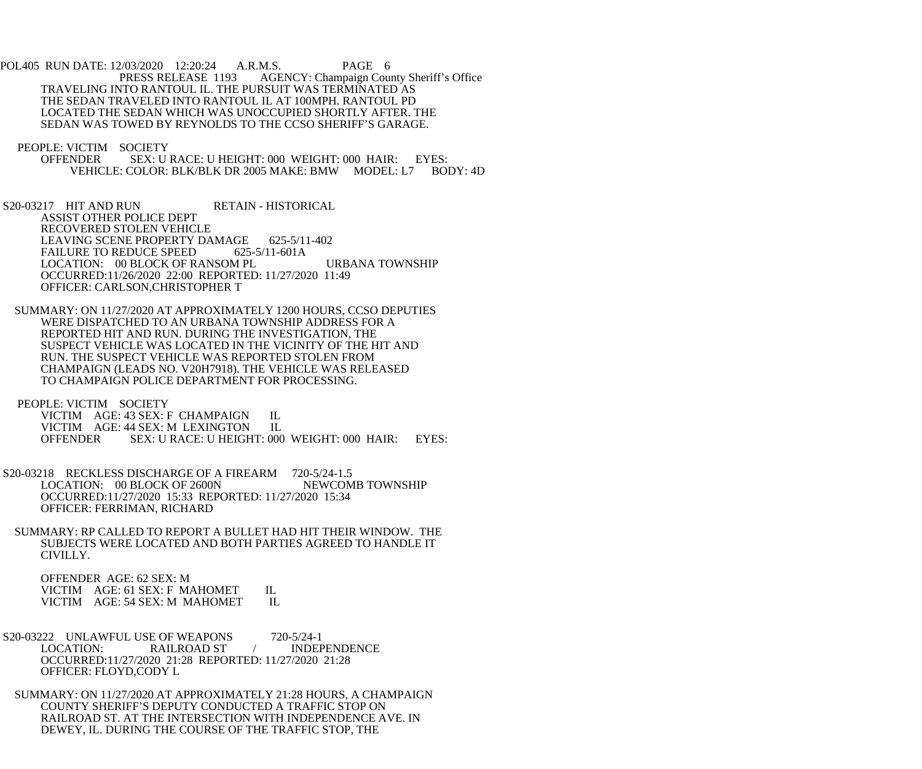POL405 RUN DATE: 12/03/2020 12:20:24 A.R.M.S. PAGE 6<br>PRESS RELEASE 1193 AGENCY: Champaign Cou AGENCY: Champaign County Sheriff's Office TRAVELING INTO RANTOUL IL. THE PURSUIT WAS TERMINATED AS THE SEDAN TRAVELED INTO RANTOUL IL AT 100MPH. RANTOUL PD LOCATED THE SEDAN WHICH WAS UNOCCUPIED SHORTLY AFTER. THE SEDAN WAS TOWED BY REYNOLDS TO THE CCSO SHERIFF'S GARAGE.

PEOPLE: VICTIM SOCIETY<br>OFFENDER SEX: U

- SEX: U RACE: U HEIGHT: 000 WEIGHT: 000 HAIR: EYES: VEHICLE: COLOR: BLK/BLK DR 2005 MAKE: BMW MODEL: L7 BODY: 4D
- S20-03217 HIT AND RUN RETAIN HISTORICAL ASSIST OTHER POLICE DEPT RECOVERED STOLEN VEHICLE LEAVING SCENE PROPERTY DAMAGE 625-5/11-402<br>FAILURE TO REDUCE SPEED 625-5/11-601A FAILURE TO REDUCE SPEED LOCATION: 00 BLOCK OF RANSOM PL URBANA TOWNSHIP OCCURRED:11/26/2020 22:00 REPORTED: 11/27/2020 11:49 OFFICER: CARLSON,CHRISTOPHER T
- SUMMARY: ON 11/27/2020 AT APPROXIMATELY 1200 HOURS, CCSO DEPUTIES WERE DISPATCHED TO AN URBANA TOWNSHIP ADDRESS FOR A REPORTED HIT AND RUN. DURING THE INVESTIGATION, THE SUSPECT VEHICLE WAS LOCATED IN THE VICINITY OF THE HIT AND RUN. THE SUSPECT VEHICLE WAS REPORTED STOLEN FROM CHAMPAIGN (LEADS NO. V20H7918). THE VEHICLE WAS RELEASED TO CHAMPAIGN POLICE DEPARTMENT FOR PROCESSING.

PEOPLE: VICTIM SOCIETY

VICTIM AGE: 43 SEX: F CHAMPAIGN IL<br>VICTIM AGE: 44 SEX: M LEXINGTON IL VICTIM AGE: 44 SEX: M LEXINGTON<br>OFFENDER SEX: U RACE: U HEIGH SEX: U RACE: U HEIGHT: 000 WEIGHT: 000 HAIR: EYES:

- S20-03218 RECKLESS DISCHARGE OF A FIREARM 720-5/24-1.5<br>LOCATION: 00 BLOCK OF 2600N NEWCOMB TOWNSHIP LOCATION: 00 BLOCK OF 2600N OCCURRED:11/27/2020 15:33 REPORTED: 11/27/2020 15:34 OFFICER: FERRIMAN, RICHARD
	- SUMMARY: RP CALLED TO REPORT A BULLET HAD HIT THEIR WINDOW. THE SUBJECTS WERE LOCATED AND BOTH PARTIES AGREED TO HANDLE IT CIVILLY.

 OFFENDER AGE: 62 SEX: M VICTIM AGE: 61 SEX: F MAHOMET IL<br>VICTIM AGE: 54 SEX: M MAHOMET IL VICTIM AGE: 54 SEX: M MAHOMET

- S20-03222 UNLAWFUL USE OF WEAPONS 720-5/24-1 LOCATION: RAILROAD ST / INDEPENDENCE OCCURRED:11/27/2020 21:28 REPORTED: 11/27/2020 21:28 OFFICER: FLOYD,CODY L
- SUMMARY: ON 11/27/2020 AT APPROXIMATELY 21:28 HOURS, A CHAMPAIGN COUNTY SHERIFF'S DEPUTY CONDUCTED A TRAFFIC STOP ON RAILROAD ST. AT THE INTERSECTION WITH INDEPENDENCE AVE. IN DEWEY, IL. DURING THE COURSE OF THE TRAFFIC STOP, THE